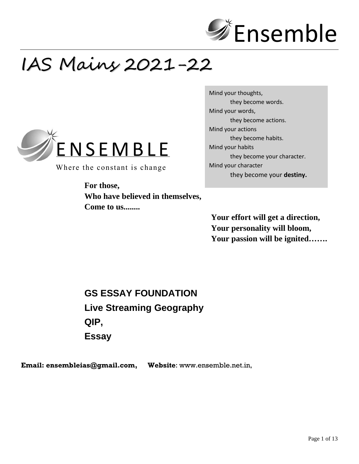

# IAS Mains 2021-22



Where the constant is change

**For those, Who have believed in themselves, Come to us........**

Mind your thoughts, they become words. Mind your words, they become actions. Mind your actions they become habits. Mind your habits they become your character. Mind your character they become your **destiny.**

**Your effort will get a direction, Your personality will bloom, Your passion will be ignited…….**

**GS ESSAY FOUNDATION Live Streaming Geography QIP, Essay**

**Email: [ensembleias@gmail.com,](mailto:ensembleias@gmail.com) Website**: www.ensemble.net.in,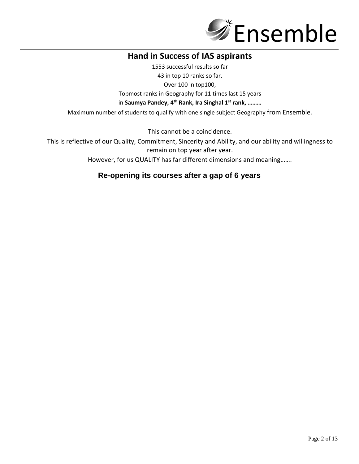

### **Hand in Success of IAS aspirants**

1553 successful results so far 43 in top 10 ranks so far.

Over 100 in top100,

Topmost ranks in Geography for 11 times last 15 years

in **Saumya Pandey, 4th Rank, Ira Singhal 1st rank, ………**

Maximum number of students to qualify with one single subject Geography from Ensemble.

This cannot be a coincidence.

This is reflective of our Quality, Commitment, Sincerity and Ability, and our ability and willingness to remain on top year after year.

However, for us QUALITY has far different dimensions and meaning…….

### **Re-opening its courses after a gap of 6 years**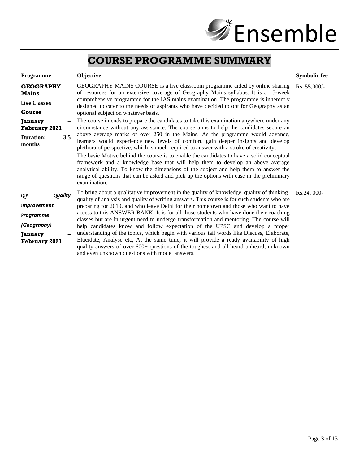

# **COURSE PROGRAMME SUMMARY**

| <b>Programme</b>                                                                                                                          | Objective                                                                                                                                                                                                                                                                                                                                                                                                                                                                                                                                                                                                                                                                                                                                                                                                                                                                                                                                                                                                                                                                                                                                                                                                                             | <b>Symbolic fee</b> |
|-------------------------------------------------------------------------------------------------------------------------------------------|---------------------------------------------------------------------------------------------------------------------------------------------------------------------------------------------------------------------------------------------------------------------------------------------------------------------------------------------------------------------------------------------------------------------------------------------------------------------------------------------------------------------------------------------------------------------------------------------------------------------------------------------------------------------------------------------------------------------------------------------------------------------------------------------------------------------------------------------------------------------------------------------------------------------------------------------------------------------------------------------------------------------------------------------------------------------------------------------------------------------------------------------------------------------------------------------------------------------------------------|---------------------|
| <b>GEOGRAPHY</b><br><b>Mains</b><br><b>Live Classes</b><br>Course<br><b>January</b><br><b>February 2021</b><br>3.5<br>Duration:<br>months | GEOGRAPHY MAINS COURSE is a live classroom programme aided by online sharing<br>of resources for an extensive coverage of Geography Mains syllabus. It is a 15-week<br>comprehensive programme for the IAS mains examination. The programme is inherently<br>designed to cater to the needs of aspirants who have decided to opt for Geography as an<br>optional subject on whatever basis.<br>The course intends to prepare the candidates to take this examination anywhere under any<br>circumstance without any assistance. The course aims to help the candidates secure an<br>above average marks of over 250 in the Mains. As the programme would advance,<br>learners would experience new levels of comfort, gain deeper insights and develop<br>plethora of perspective, which is much required to answer with a stroke of creativity.<br>The basic Motive behind the course is to enable the candidates to have a solid conceptual<br>framework and a knowledge base that will help them to develop an above average<br>analytical ability. To know the dimensions of the subject and help them to answer the<br>range of questions that can be asked and pick up the options with ease in the preliminary<br>examination. | $Rs. 55,000/-$      |
| Quality<br>QIP<br><i>Improvement</i><br>Programme<br>(Geography)<br><b>January</b><br><b>February 2021</b>                                | To bring about a qualitative improvement in the quality of knowledge, quality of thinking,<br>quality of analysis and quality of writing answers. This course is for such students who are<br>preparing for 2019, and who leave Delhi for their hometown and those who want to have<br>access to this ANSWER BANK. It is for all those students who have done their coaching<br>classes but are in urgent need to undergo transformation and mentoring. The course will<br>help candidates know and follow expectation of the UPSC and develop a proper<br>understanding of the topics, which begin with various tail words like Discuss, Elaborate,<br>Elucidate, Analyse etc, At the same time, it will provide a ready availability of high<br>quality answers of over 600+ questions of the toughest and all heard unheard, unknown<br>and even unknown questions with model answers.                                                                                                                                                                                                                                                                                                                                             | Rs.24, 000-         |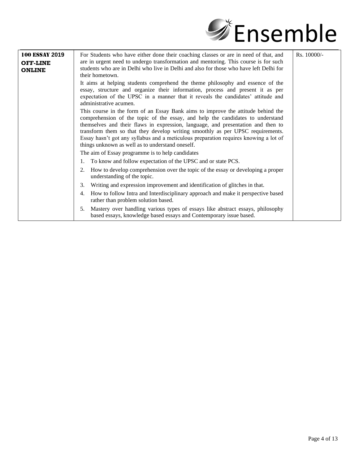

| <b>100 ESSAY 2019</b><br><b>OFF-LINE</b><br><b>ONLINE</b> | Rs. 10000/-<br>For Students who have either done their coaching classes or are in need of that, and<br>are in urgent need to undergo transformation and mentoring. This course is for such<br>students who are in Delhi who live in Delhi and also for those who have left Delhi for<br>their hometown.                                                                                                                                                                              |  |
|-----------------------------------------------------------|--------------------------------------------------------------------------------------------------------------------------------------------------------------------------------------------------------------------------------------------------------------------------------------------------------------------------------------------------------------------------------------------------------------------------------------------------------------------------------------|--|
|                                                           | It aims at helping students comprehend the theme philosophy and essence of the<br>essay, structure and organize their information, process and present it as per<br>expectation of the UPSC in a manner that it reveals the candidates' attitude and<br>administrative acumen.                                                                                                                                                                                                       |  |
|                                                           | This course in the form of an Essay Bank aims to improve the attitude behind the<br>comprehension of the topic of the essay, and help the candidates to understand<br>themselves and their flaws in expression, language, and presentation and then to<br>transform them so that they develop writing smoothly as per UPSC requirements.<br>Essay hasn't got any syllabus and a meticulous preparation requires knowing a lot of<br>things unknown as well as to understand oneself. |  |
|                                                           | The aim of Essay programme is to help candidates                                                                                                                                                                                                                                                                                                                                                                                                                                     |  |
|                                                           | To know and follow expectation of the UPSC and or state PCS.                                                                                                                                                                                                                                                                                                                                                                                                                         |  |
|                                                           | How to develop comprehension over the topic of the essay or developing a proper<br>2.<br>understanding of the topic.                                                                                                                                                                                                                                                                                                                                                                 |  |
|                                                           | Writing and expression improvement and identification of glitches in that.<br>3.                                                                                                                                                                                                                                                                                                                                                                                                     |  |
|                                                           | How to follow Intra and Interdisciplinary approach and make it perspective based<br>4.<br>rather than problem solution based.                                                                                                                                                                                                                                                                                                                                                        |  |
|                                                           | Mastery over handling various types of essays like abstract essays, philosophy<br>5.<br>based essays, knowledge based essays and Contemporary issue based.                                                                                                                                                                                                                                                                                                                           |  |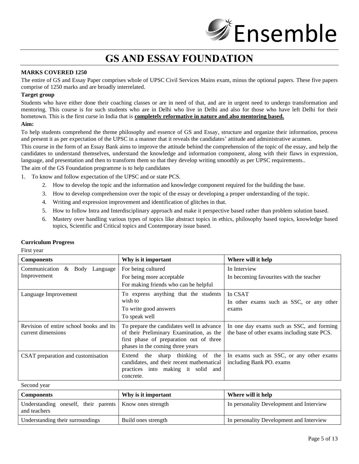# **Ensemble**

## **GS AND ESSAY FOUNDATION**

#### **MARKS COVERED 1250**

The entire of GS and Essay Paper comprises whole of UPSC Civil Services Mains exam, minus the optional papers. These five papers comprise of 1250 marks and are broadly interrelated.

#### **Target group**

Students who have either done their coaching classes or are in need of that, and are in urgent need to undergo transformation and mentoring. This course is for such students who are in Delhi who live in Delhi and also for those who have left Delhi for their hometown. This is the first curse in India that is **completely reformative in nature and also mentoring based.**

#### **Aim:**

To help students comprehend the theme philosophy and essence of GS and Essay, structure and organize their information, process and present it as per expectation of the UPSC in a manner that it reveals the candidates' attitude and administrative acumen.

This course in the form of an Essay Bank aims to improve the attitude behind the comprehension of the topic of the essay, and help the candidates to understand themselves, understand the knowledge and information component, along with their flaws in expression, language, and presentation and then to transform them so that they develop writing smoothly as per UPSC requirements..

The aim of the GS Foundation programme is to help candidates

1. To know and follow expectation of the UPSC and or state PCS.

- 2. How to develop the topic and the information and knowledge component required for the building the base.
- 3. How to develop comprehension over the topic of the essay or developing a proper understanding of the topic.
- 4. Writing and expression improvement and identification of glitches in that.
- 5. How to follow Intra and Interdisciplinary approach and make it perspective based rather than problem solution based.
- 6. Mastery over handling various types of topics like abstract topics in ethics, philosophy based topics, knowledge based topics, Scientific and Critical topics and Contemporary issue based.

| $1.1101$ , $0.011$                                            |                                                                                                                                                                      |                                                                                           |  |
|---------------------------------------------------------------|----------------------------------------------------------------------------------------------------------------------------------------------------------------------|-------------------------------------------------------------------------------------------|--|
| <b>Components</b>                                             | Why is it important                                                                                                                                                  | Where will it help                                                                        |  |
| Communication & Body<br>Language<br>Improvement               | For being cultured<br>For being more acceptable<br>For making friends who can be helpful                                                                             | In Interview<br>In becoming favourities with the teacher                                  |  |
| Language Improvement                                          | To express anything that the students<br>wish to<br>To write good answers<br>To speak well                                                                           | In CSAT<br>In other exams such as SSC, or any other<br>exams                              |  |
| Revision of entire school books and its<br>current dimensions | To prepare the candidates well in advance<br>of their Preliminary Examination, as the<br>first phase of preparation out of three<br>phases in the coming three years | In one day exams such as SSC, and forming<br>the base of other exams including state PCS. |  |
| CSAT preparation and customisation                            | sharp thinking of the<br>Extend the<br>candidates, and their recent mathematical<br>practices into making it solid and<br>concrete.                                  | In exams such as SSC, or any other exams<br>including Bank PO. exams                      |  |

#### **Curriculum Progress**

First year

#### Second year

| <b>Components</b>                                                         | Why is it important | Where will it help                       |
|---------------------------------------------------------------------------|---------------------|------------------------------------------|
| Understanding oneself, their parents   Know ones strength<br>and teachers |                     | In personality Development and Interview |
| Understanding their surroundings                                          | Build ones strength | In personality Development and Interview |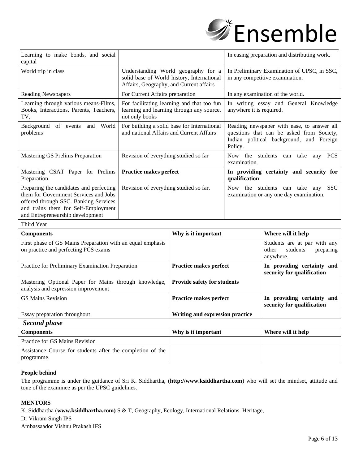

| Learning to make bonds, and social<br>capital                                                                                                                                                        |                                                                                                                              | In easing preparation and distributing work.                                                                                                   |
|------------------------------------------------------------------------------------------------------------------------------------------------------------------------------------------------------|------------------------------------------------------------------------------------------------------------------------------|------------------------------------------------------------------------------------------------------------------------------------------------|
| World trip in class                                                                                                                                                                                  | Understanding World geography for a<br>solid base of World history, International<br>Affairs, Geography, and Current affairs | In Preliminary Examination of UPSC, in SSC,<br>in any competitive examination.                                                                 |
| <b>Reading Newspapers</b>                                                                                                                                                                            | For Current Affairs preparation                                                                                              | In any examination of the world.                                                                                                               |
| Learning through various means-Films,<br>Books, Interactions, Parents, Teachers,<br>TV,                                                                                                              | For facilitating learning and that too fun<br>learning and learning through any source,<br>not only books                    | In writing essay and General Knowledge<br>anywhere it is required.                                                                             |
| Background of events and World<br>problems                                                                                                                                                           | For building a solid base for International<br>and national Affairs and Current Affairs                                      | Reading newspaper with ease, to answer all<br>questions that can be asked from Society,<br>Indian political background, and Foreign<br>Policy. |
| Mastering GS Prelims Preparation                                                                                                                                                                     | Revision of everything studied so far                                                                                        | Now the students<br>can take<br><b>PCS</b><br>any<br>examination.                                                                              |
| Mastering CSAT Paper for Prelims<br>Preparation                                                                                                                                                      | Practice makes perfect                                                                                                       | In providing certainty and security for<br>qualification                                                                                       |
| Preparing the candidates and perfecting<br>them for Government Services and Jobs<br>offered through SSC. Banking Services<br>and trains them for Self-Employment<br>and Entrepreneurship development | Revision of everything studied so far.                                                                                       | Now the<br><b>SSC</b><br>students<br>take<br>can<br>any<br>examination or any one day examination.                                             |

Third Year

| <b>Components</b>                                                                                  | Why is it important                | Where will it help                                                          |
|----------------------------------------------------------------------------------------------------|------------------------------------|-----------------------------------------------------------------------------|
| First phase of GS Mains Preparation with an equal emphasis<br>on practice and perfecting PCS exams |                                    | Students are at par with any<br>students<br>other<br>preparing<br>anywhere. |
| Practice for Preliminary Examination Preparation                                                   | <b>Practice makes perfect</b>      | In providing certainty and<br>security for qualification                    |
| Mastering Optional Paper for Mains through knowledge,<br>analysis and expression improvement       | <b>Provide safety for students</b> |                                                                             |
| <b>GS Mains Revision</b>                                                                           | <b>Practice makes perfect</b>      | In providing certainty and<br>security for qualification                    |
| Essay preparation throughout                                                                       | Writing and expression practice    |                                                                             |
| $\mathbf{C}$ 1 . 1                                                                                 |                                    |                                                                             |

*Second phase*

| <b>Components</b>                                                        | Why is it important | Where will it help |
|--------------------------------------------------------------------------|---------------------|--------------------|
| Practice for GS Mains Revision                                           |                     |                    |
| Assistance Course for students after the completion of the<br>programme. |                     |                    |

#### **People behind**

The programme is under the guidance of Sri K. Siddhartha, (**[http://www.ksiddhartha.com](http://www.ksiddhartha.com/)**) who will set the mindset, attitude and tone of the examinee as per the UPSC guidelines.

#### **MENTORS**

K. Siddhartha (**[www.ksiddhartha.com\)](http://www.ksiddhartha.com)/)** S & T, Geography, Ecology, International Relations. Heritage,

Dr Vikram Singh IPS

Ambassaador Vishnu Prakash IFS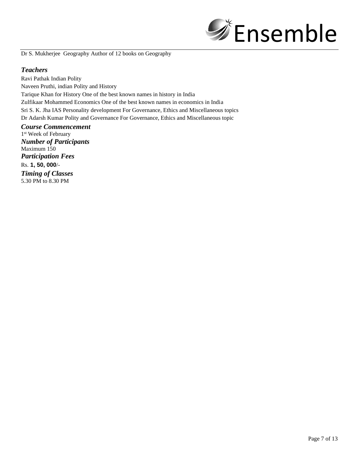

Dr S. Mukherjee Geography Author of 12 books on Geography

#### *Teachers*

Ravi Pathak Indian Polity Naveen Pruthi, indian Polity and History Tarique Khan for History One of the best known names in history in India Zulfikaar Mohammed Economics One of the best known names in economics in India Sri S. K. Jha IAS Personality development For Governance, Ethics and Miscellaneous topics Dr Adarsh Kumar Polity and Governance For Governance, Ethics and Miscellaneous topic

*Course Commencement* 1 st Week of February *Number of Participants* Maximum 150 *Participation Fees* Rs. **1, 50, 000**/- *Timing of Classes* 5.30 PM to 8.30 PM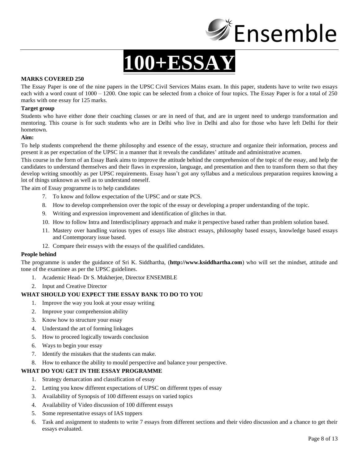

# **100+ESSAY**

#### **MARKS COVERED 250**

The Essay Paper is one of the nine papers in the UPSC Civil Services Mains exam. In this paper, students have to write two essays each with a word count of 1000 – 1200. One topic can be selected from a choice of four topics. The Essay Paper is for a total of 250 marks with one essay for 125 marks.

#### **Target group**

Students who have either done their coaching classes or are in need of that, and are in urgent need to undergo transformation and mentoring. This course is for such students who are in Delhi who live in Delhi and also for those who have left Delhi for their hometown.

#### **Aim:**

To help students comprehend the theme philosophy and essence of the essay, structure and organize their information, process and present it as per expectation of the UPSC in a manner that it reveals the candidates' attitude and administrative acumen.

This course in the form of an Essay Bank aims to improve the attitude behind the comprehension of the topic of the essay, and help the candidates to understand themselves and their flaws in expression, language, and presentation and then to transform them so that they develop writing smoothly as per UPSC requirements. Essay hasn't got any syllabus and a meticulous preparation requires knowing a lot of things unknown as well as to understand oneself.

The aim of Essay programme is to help candidates

- 7. To know and follow expectation of the UPSC and or state PCS.
- 8. How to develop comprehension over the topic of the essay or developing a proper understanding of the topic.
- 9. Writing and expression improvement and identification of glitches in that.
- 10. How to follow Intra and Interdisciplinary approach and make it perspective based rather than problem solution based.
- 11. Mastery over handling various types of essays like abstract essays, philosophy based essays, knowledge based essays and Contemporary issue based.
- 12. Compare their essays with the essays of the qualified candidates.

#### **People behind**

The programme is under the guidance of Sri K. Siddhartha, (**[http://www.ksiddhartha.com](http://www.ksiddhartha.com/)**) who will set the mindset, attitude and tone of the examinee as per the UPSC guidelines.

- 1. Academic Head- Dr S. Mukherjee, Director ENSEMBLE
- 2. Input and Creative Director

#### **WHAT SHOULD YOU EXPECT THE ESSAY BANK TO DO TO YOU**

- 1. Improve the way you look at your essay writing
- 2. Improve your comprehension ability
- 3. Know how to structure your essay
- 4. Understand the art of forming linkages
- 5. How to proceed logically towards conclusion
- 6. Ways to begin your essay
- 7. Identify the mistakes that the students can make.
- 8. How to enhance the ability to mould perspective and balance your perspective.

#### **WHAT DO YOU GET IN THE ESSAY PROGRAMME**

- 1. Strategy demarcation and classification of essay
- 2. Letting you know different expectations of UPSC on different types of essay
- 3. Availability of Synopsis of 100 different essays on varied topics
- 4. Availability of Video discussion of 100 different essays
- 5. Some representative essays of IAS toppers
- 6. Task and assignment to students to write 7 essays from different sections and their video discussion and a chance to get their essays evaluated.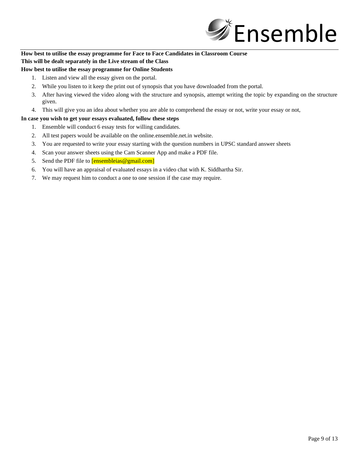

#### **How best to utilise the essay programme for Face to Face Candidates in Classroom Course This will be dealt separately in the Live stream of the Class**

#### **How best to utilise the essay programme for Online Students**

- 1. Listen and view all the essay given on the portal.
- 2. While you listen to it keep the print out of synopsis that you have downloaded from the portal.
- 3. After having viewed the video along with the structure and synopsis, attempt writing the topic by expanding on the structure given.
- 4. This will give you an idea about whether you are able to comprehend the essay or not, write your essay or not,

#### **In case you wish to get your essays evaluated, follow these steps**

- 1. Ensemble will conduct 6 essay tests for willing candidates.
- 2. All test papers would be available on the online.ensemble.net.in website.
- 3. You are requested to write your essay starting with the question numbers in UPSC standard answer sheets
- 4. Scan your answer sheets using the Cam Scanner App and make a PDF file.
- 5. Send the PDF file to **[ensembleias@gmail.com]**
- 6. You will have an appraisal of evaluated essays in a video chat with K. Siddhartha Sir.
- 7. We may request him to conduct a one to one session if the case may require.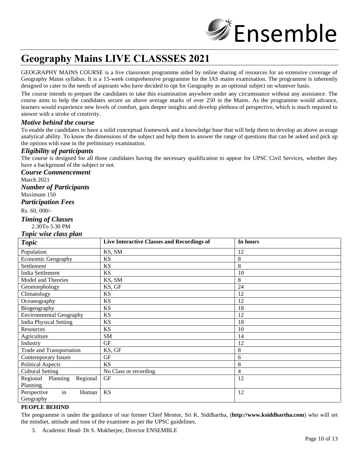

## **Geography Mains LIVE CLASSSES 2021**

GEOGRAPHY MAINS COURSE is a live classroom programme aided by online sharing of resources for an extensive coverage of Geography Mains syllabus. It is a 15-week comprehensive programme for the IAS mains examination. The programme is inherently designed to cater to the needs of aspirants who have decided to opt for Geography as an optional subject on whatever basis.

The course intends to prepare the candidates to take this examination anywhere under any circumstance without any assistance. The course aims to help the candidates secure an above average marks of over 250 in the Mains. As the programme would advance, learners would experience new levels of comfort, gain deeper insights and develop plethora of perspective, which is much required to answer with a stroke of creativity.

#### *Motive behind the course*

To enable the candidates to have a solid conceptual framework and a knowledge base that will help them to develop an above average analytical ability. To know the dimensions of the subject and help them to answer the range of questions that can be asked and pick up the options with ease in the preliminary examination.

#### *Eligibility of participants*

The course is designed for all those candidates having the necessary qualification to appear for UPSC Civil Services, whether they have a background of the subject or not.

#### *Course Commencement*

March 2021

*Number of Participants*

#### Maximum 150

#### *Participation Fees*

Rs. 60, 000/-

#### *Timing of Classes*

2.30To 5.30 PM

#### *Topic wise class plan*

| <b>Topic</b>                                 | Live Interactive Classes and Recordings of | In hours |
|----------------------------------------------|--------------------------------------------|----------|
| Population                                   | KS, SM                                     | 12       |
| Economic Geography                           | <b>KS</b>                                  | 8        |
| Settlement                                   | <b>KS</b>                                  | 8        |
| India Settlement                             | <b>KS</b>                                  | 10       |
| Model and Theories                           | KS, SM                                     | 8        |
| Geomorphology                                | KS, GF                                     | 24       |
| Climatology                                  | <b>KS</b>                                  | 12       |
| Oceanography                                 | <b>KS</b>                                  | 12       |
| Biogeography                                 | <b>KS</b>                                  | 18       |
| <b>Environmental Geography</b>               | <b>KS</b>                                  | 12       |
| <b>India Physical Setting</b>                | <b>KS</b>                                  | 18       |
| Resources                                    | <b>KS</b>                                  | 10       |
| Agriculture                                  | SM                                         | 14       |
| Industry                                     | <b>GF</b>                                  | 12       |
| <b>Trade and Transportation</b>              | KS, GF                                     | 8        |
| <b>Contemporary Issues</b>                   | GF                                         | 6        |
| <b>Political Aspects</b>                     | <b>KS</b>                                  | 8        |
| <b>Cultural Setting</b>                      | No Class or recording                      | 4        |
| Regional<br>Planning<br>Regional<br>Planning | <b>GF</b>                                  | 12       |
| in<br>Human<br>Perspective<br>Geography      | <b>KS</b>                                  | 12       |

#### **PEOPLE BEHIND**

The programme is under the guidance of our former Chief Mentor, Sri K. Siddhartha, (**[http://www.ksiddhartha.com](http://www.ksiddhartha.com/)**) who will set the mindset, attitude and tone of the examinee as per the UPSC guidelines.

3. Academic Head- Dr S. Mukherjee, Director ENSEMBLE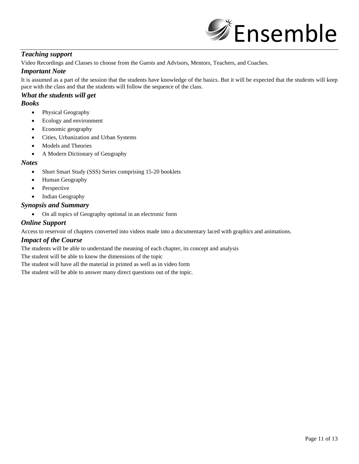

#### *Teaching support*

Video Recordings and Classes to choose from the Guests and Advisors, Mentors, Teachers, and Coaches.

#### *Important Note*

It is assumed as a part of the session that the students have knowledge of the basics. But it will be expected that the students will keep pace with the class and that the students will follow the sequence of the class.

### *What the students will get*

#### *Books*

- Physical Geography
- Ecology and environment
- Economic geography
- Cities, Urbanization and Urban Systems
- Models and Theories
- A Modern Dictionary of Geography

#### *Notes*

- Short Smart Study (SSS) Series comprising 15-20 booklets
- Human Geography
- Perspective
- Indian Geography

#### *Synopsis and Summary*

• On all topics of Geography optional in an electronic form

#### *Online Support*

Access to reservoir of chapters converted into videos made into a documentary laced with graphics and animations.

#### *Impact of the Course*

The students will be able to understand the meaning of each chapter, its concept and analysis

The student will be able to know the dimensions of the topic

The student will have all the material in printed as well as in video form

The student will be able to answer many direct questions out of the topic.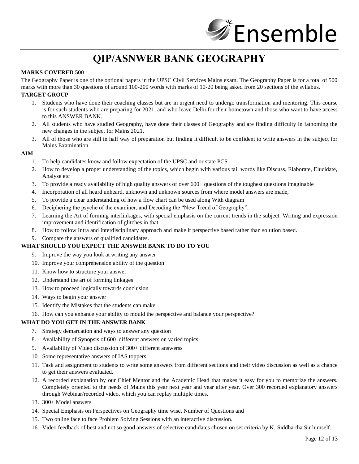

## **QIP/ASNWER BANK GEOGRAPHY**

#### **MARKS COVERED 500**

The Geography Paper is one of the optional papers in the UPSC Civil Services Mains exam. The Geography Paper is for a total of 500 marks with more than 30 questions of around 100-200 words with marks of 10-20 being asked from 20 sections of the syllabus.

#### **TARGET GROUP**

- 1. Students who have done their coaching classes but are in urgent need to undergo transformation and mentoring. This course is for such students who are preparing for 2021, and who leave Delhi for their hometown and those who want to have access to this ANSWER BANK.
- 2. All students who have studied Geography, have done their classes of Geography and are finding difficulty in fathoming the new changes in the subject for Mains 2021.
- 3. All of those who are still in half way of preparation but finding it difficult to be confident to write answers in the subject for Mains Examination.

#### **AIM**

- 1. To help candidates know and follow expectation of the UPSC and or state PCS.
- 2. How to develop a proper understanding of the topics, which begin with various tail words like Discuss, Elaborate, Elucidate, Analyse etc
- 3. To provide a ready availability of high quality answers of over 600+ questions of the toughest questions imaginable
- 4. Incorporation of all heard unheard, unknown and unknown sources from where model answers are made,
- 5. To provide a clear understanding of how a flow chart can be used along With diagram
- 6. Deciphering the psyche of the examiner, and Decoding the "New Trend of Geography".
- 7. Learning the Art of forming interlinkages, with special emphasis on the current trends in the subject. Writing and expression improvement and identification of glitches in that.
- 8. How to follow Intra and Interdisciplinary approach and make it perspective based rather than solution based.
- 9. Compare the answers of qualified candidates.

#### **WHAT SHOULD YOU EXPECT THE ANSWER BANK TO DO TO YOU**

- 9. Improve the way you look at writing any answer
- 10. Improve your comprehension ability of the question
- 11. Know how to structure your answer
- 12. Understand the art of forming linkages
- 13. How to proceed logically towards conclusion
- 14. Ways to begin your answer
- 15. Identify the Mistakes that the students can make.
- 16. How can you enhance your ability to mould the perspective and balance your perspective?

#### **WHAT DO YOU GET IN THE ANSWER BANK**

- 7. Strategy demarcation and ways to answer any question
- 8. Availability of Synopsis of 600 different answers on varied topics
- 9. Availability of Video discussion of 300+ different answerss
- 10. Some representative answers of IAS toppers
- 11. Task and assignment to students to write some answers from different sections and their video discussion as well as a chance to get their answers evaluated.
- 12. A recorded explanation by our Chief Mentor and the Academic Head that makes it easy for you to memorize the answers. Completely oriented to the needs of Mains this year next year and year after year. Over 300 recorded explanatory answers through Webinar/recorded video, which you can replay multiple times.
- 13. 300+ Model answers
- 14. Special Emphasis on Perspectives on Geography time wise, Number of Questions and
- 15. Two online face to face Problem Solving Sessions with an interactive discussion.
- 16. Video feedback of best and not so good answers of selective candidates chosen on set criteria by K. Siddhartha Sir himself.